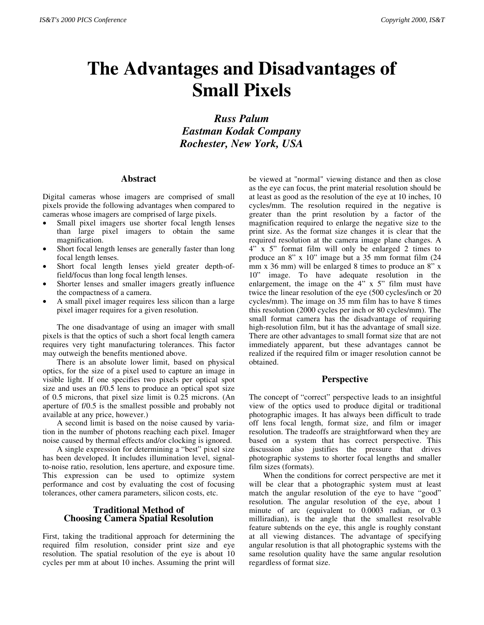# **The Advantages and Disadvantages of Small Pixels**

*Russ Palum Eastman Kodak Company Rochester, New York, USA*

## **Abstract**

Digital cameras whose imagers are comprised of small pixels provide the following advantages when compared to cameras whose imagers are comprised of large pixels.

- Small pixel imagers use shorter focal length lenses than large pixel imagers to obtain the same magnification.
- Short focal length lenses are generally faster than long focal length lenses.
- Short focal length lenses yield greater depth-offield/focus than long focal length lenses.
- Shorter lenses and smaller imagers greatly influence the compactness of a camera.
- A small pixel imager requires less silicon than a large pixel imager requires for a given resolution.

The one disadvantage of using an imager with small pixels is that the optics of such a short focal length camera requires very tight manufacturing tolerances. This factor may outweigh the benefits mentioned above.

There is an absolute lower limit, based on physical optics, for the size of a pixel used to capture an image in visible light. If one specifies two pixels per optical spot size and uses an f/0.5 lens to produce an optical spot size of 0.5 microns, that pixel size limit is 0.25 microns. (An aperture of f/0.5 is the smallest possible and probably not available at any price, however.)

A second limit is based on the noise caused by variation in the number of photons reaching each pixel. Imager noise caused by thermal effects and/or clocking is ignored.

A single expression for determining a "best" pixel size has been developed. It includes illumination level, signalto-noise ratio, resolution, lens aperture, and exposure time. This expression can be used to optimize system performance and cost by evaluating the cost of focusing tolerances, other camera parameters, silicon costs, etc.

# **Traditional Method of Choosing Camera Spatial Resolution**

First, taking the traditional approach for determining the required film resolution, consider print size and eye resolution. The spatial resolution of the eye is about 10 cycles per mm at about 10 inches. Assuming the print will

be viewed at "normal" viewing distance and then as close as the eye can focus, the print material resolution should be at least as good as the resolution of the eye at 10 inches, 10 cycles/mm. The resolution required in the negative is greater than the print resolution by a factor of the magnification required to enlarge the negative size to the print size. As the format size changes it is clear that the required resolution at the camera image plane changes. A 4" x 5" format film will only be enlarged 2 times to produce an 8" x 10" image but a 35 mm format film (24 mm x 36 mm) will be enlarged 8 times to produce an 8" x 10" image. To have adequate resolution in the enlargement, the image on the 4" x 5" film must have twice the linear resolution of the eye (500 cycles/inch or 20 cycles/mm). The image on 35 mm film has to have 8 times this resolution (2000 cycles per inch or 80 cycles/mm). The small format camera has the disadvantage of requiring high-resolution film, but it has the advantage of small size. There are other advantages to small format size that are not immediately apparent, but these advantages cannot be realized if the required film or imager resolution cannot be obtained.

# **Perspective**

The concept of "correct" perspective leads to an insightful view of the optics used to produce digital or traditional photographic images. It has always been difficult to trade off lens focal length, format size, and film or imager resolution. The tradeoffs are straightforward when they are based on a system that has correct perspective. This discussion also justifies the pressure that drives photographic systems to shorter focal lengths and smaller film sizes (formats).

When the conditions for correct perspective are met it will be clear that a photographic system must at least match the angular resolution of the eye to have "good" resolution. The angular resolution of the eye, about 1 minute of arc (equivalent to 0.0003 radian, or 0.3 milliradian), is the angle that the smallest resolvable feature subtends on the eye, this angle is roughly constant at all viewing distances. The advantage of specifying angular resolution is that all photographic systems with the same resolution quality have the same angular resolution regardless of format size.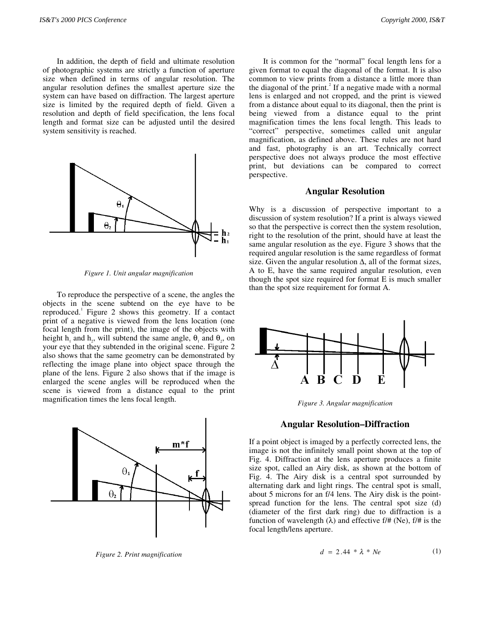In addition, the depth of field and ultimate resolution of photographic systems are strictly a function of aperture size when defined in terms of angular resolution. The angular resolution defines the smallest aperture size the system can have based on diffraction. The largest aperture size is limited by the required depth of field. Given a resolution and depth of field specification, the lens focal length and format size can be adjusted until the desired system sensitivity is reached.



*Figure 1. Unit angular magnification*

To reproduce the perspective of a scene, the angles the objects in the scene subtend on the eye have to be reproduced.<sup>1</sup> Figure 2 shows this geometry. If a contact print of a negative is viewed from the lens location (one focal length from the print), the image of the objects with height h<sub>1</sub> and h<sub>2</sub>, will subtend the same angle,  $\theta_1$  and  $\theta_2$ , on your eye that they subtended in the original scene. Figure 2 also shows that the same geometry can be demonstrated by reflecting the image plane into object space through the plane of the lens. Figure 2 also shows that if the image is enlarged the scene angles will be reproduced when the scene is viewed from a distance equal to the print magnification times the lens focal length.



*Figure 2. Print magnification*

It is common for the "normal" focal length lens for a given format to equal the diagonal of the format. It is also common to view prints from a distance a little more than the diagonal of the print.<sup>2</sup> If a negative made with a normal lens is enlarged and not cropped, and the print is viewed from a distance about equal to its diagonal, then the print is being viewed from a distance equal to the print magnification times the lens focal length. This leads to "correct" perspective, sometimes called unit angular magnification, as defined above. These rules are not hard and fast, photography is an art. Technically correct perspective does not always produce the most effective print, but deviations can be compared to correct perspective.

#### **Angular Resolution**

Why is a discussion of perspective important to a discussion of system resolution? If a print is always viewed so that the perspective is correct then the system resolution, right to the resolution of the print, should have at least the same angular resolution as the eye. Figure 3 shows that the required angular resolution is the same regardless of format size. Given the angular resolution  $\Delta$ , all of the format sizes, A to E, have the same required angular resolution, even though the spot size required for format E is much smaller than the spot size requirement for format A.



*Figure 3. Angular magnification*

#### **Angular Resolution–Diffraction**

If a point object is imaged by a perfectly corrected lens, the image is not the infinitely small point shown at the top of Fig. 4. Diffraction at the lens aperture produces a finite size spot, called an Airy disk, as shown at the bottom of Fig. 4. The Airy disk is a central spot surrounded by alternating dark and light rings. The central spot is small, about 5 microns for an f/4 lens. The Airy disk is the pointspread function for the lens. The central spot size (d) (diameter of the first dark ring) due to diffraction is a function of wavelength  $(\lambda)$  and effective f/# (Ne), f/# is the focal length/lens aperture.

$$
d = 2.44 * \lambda * Ne \tag{1}
$$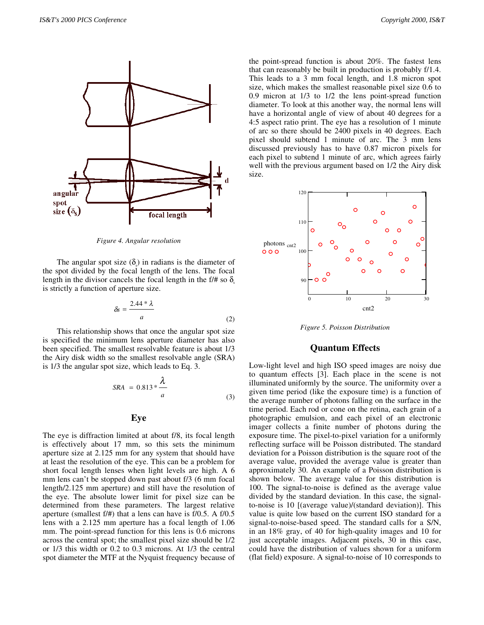

*Figure 4. Angular resolution*

The angular spot size  $(\delta_s)$  in radians is the diameter of the spot divided by the focal length of the lens. The focal length in the divisor cancels the focal length in the f/# so  $\delta$ . is strictly a function of aperture size.

$$
\delta s = \frac{2.44 * \lambda}{a} \tag{2}
$$

This relationship shows that once the angular spot size is specified the minimum lens aperture diameter has also been specified. The smallest resolvable feature is about 1/3 the Airy disk width so the smallest resolvable angle (SRA) is 1/3 the angular spot size, which leads to Eq. 3.

$$
SRA = 0.813 * \frac{\lambda}{a}
$$
 (3)

## **Eye**

The eye is diffraction limited at about f/8, its focal length is effectively about 17 mm, so this sets the minimum aperture size at 2.125 mm for any system that should have at least the resolution of the eye. This can be a problem for short focal length lenses when light levels are high. A 6 mm lens can't be stopped down past about f/3 (6 mm focal length/2.125 mm aperture) and still have the resolution of the eye. The absolute lower limit for pixel size can be determined from these parameters. The largest relative aperture (smallest f/#) that a lens can have is f/0.5. A f/0.5 lens with a 2.125 mm aperture has a focal length of 1.06 mm. The point-spread function for this lens is 0.6 microns across the central spot; the smallest pixel size should be 1/2 or 1/3 this width or 0.2 to 0.3 microns. At 1/3 the central spot diameter the MTF at the Nyquist frequency because of the point-spread function is about 20%. The fastest lens that can reasonably be built in production is probably f/1.4. This leads to a 3 mm focal length, and 1.8 micron spot size, which makes the smallest reasonable pixel size 0.6 to 0.9 micron at 1/3 to 1/2 the lens point-spread function diameter. To look at this another way, the normal lens will have a horizontal angle of view of about 40 degrees for a 4:5 aspect ratio print. The eye has a resolution of 1 minute of arc so there should be 2400 pixels in 40 degrees. Each pixel should subtend 1 minute of arc. The 3 mm lens discussed previously has to have 0.87 micron pixels for each pixel to subtend 1 minute of arc, which agrees fairly well with the previous argument based on 1/2 the Airy disk size.



*Figure 5. Poisson Distribution*

#### **Quantum Effects**

Low-light level and high ISO speed images are noisy due to quantum effects [3]. Each place in the scene is not illuminated uniformly by the source. The uniformity over a given time period (like the exposure time) is a function of the average number of photons falling on the surface in the time period. Each rod or cone on the retina, each grain of a photographic emulsion, and each pixel of an electronic imager collects a finite number of photons during the exposure time. The pixel-to-pixel variation for a uniformly reflecting surface will be Poisson distributed. The standard deviation for a Poisson distribution is the square root of the average value, provided the average value is greater than approximately 30. An example of a Poisson distribution is shown below. The average value for this distribution is 100. The signal-to-noise is defined as the average value divided by the standard deviation. In this case, the signalto-noise is 10 [(average value)/(standard deviation)]. This value is quite low based on the current ISO standard for a signal-to-noise-based speed. The standard calls for a S/N, in an 18% gray, of 40 for high-quality images and 10 for just acceptable images. Adjacent pixels, 30 in this case, could have the distribution of values shown for a uniform (flat field) exposure. A signal-to-noise of 10 corresponds to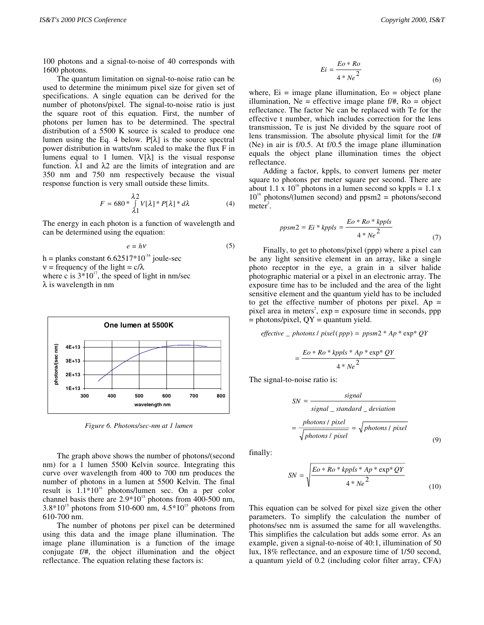100 photons and a signal-to-noise of 40 corresponds with 1600 photons.

The quantum limitation on signal-to-noise ratio can be used to determine the minimum pixel size for given set of specifications. A single equation can be derived for the number of photons/pixel. The signal-to-noise ratio is just the square root of this equation. First, the number of photons per lumen has to be determined. The spectral distribution of a 5500 K source is scaled to produce one lumen using the Eq. 4 below.  $P[\lambda]$  is the source spectral power distribution in watts/nm scaled to make the flux F in lumens equal to 1 lumen.  $V[\lambda]$  is the visual response function. λ1 and λ2 are the limits of integration and are 350 nm and 750 nm respectively because the visual response function is very small outside these limits.

$$
F = 680 \times \int_{\lambda_1}^{\lambda_2} V[\lambda] \times P[\lambda] \times d\lambda \tag{4}
$$

The energy in each photon is a function of wavelength and can be determined using the equation:

$$
e = hv \tag{5}
$$

h = planks constant  $6.62517*10^{-34}$  joule-sec

 $v = \text{frequency of the light} = c/\lambda$ 

where c is  $3*10^{17}$ , the speed of light in nm/sec λ is wavelength in nm



*Figure 6. Photons/sec-nm at 1 lumen*

The graph above shows the number of photons/(second nm) for a 1 lumen 5500 Kelvin source. Integrating this curve over wavelength from 400 to 700 nm produces the number of photons in a lumen at 5500 Kelvin. The final result is  $1.1*10^{16}$  photons/lumen sec. On a per color channel basis there are  $2.9*10^{15}$  photons from 400-500 nm,  $3.8*10^{15}$  photons from 510-600 nm,  $4.5*10^{15}$  photons from 610-700 nm.

The number of photons per pixel can be determined using this data and the image plane illumination. The image plane illumination is a function of the image conjugate f/#, the object illumination and the object reflectance. The equation relating these factors is:

$$
Ei = \frac{Eo * Ro}{4 * Ne^2}
$$
 (6)

where,  $Ei = image$  plane illumination,  $Eo = object$  plane illumination, Ne = effective image plane  $f/\#$ , Ro = object reflectance. The factor Ne can be replaced with Te for the effective t number, which includes correction for the lens transmission, Te is just Ne divided by the square root of lens transmission. The absolute physical limit for the f/# (Ne) in air is f/0.5. At f/0.5 the image plane illumination equals the object plane illumination times the object reflectance.

Adding a factor, kppls, to convert lumens per meter square to photons per meter square per second. There are about 1.1 x  $10^{16}$  photons in a lumen second so kppls = 1.1 x  $10^{16}$  photons/(lumen second) and ppsm2 = photons/second  $meter<sup>2</sup>$ .

$$
ppsm2 = Ei * kppls = \frac{Eo * Ro * kppls}{4 * Ne^2}
$$
\n(7)

Finally, to get to photons/pixel (ppp) where a pixel can be any light sensitive element in an array, like a single photo receptor in the eye, a grain in a silver halide photographic material or a pixel in an electronic array. The exposure time has to be included and the area of the light sensitive element and the quantum yield has to be included to get the effective number of photons per pixel. Ap  $=$ pixel area in meters<sup>2</sup>,  $exp = exp$  exposure time in seconds, ppp  $=$  photons/pixel,  $QY =$  quantum yield.

$$
effective\_\_photons\,/\,pixel\, (ppp)\,=\,ppsm2\,^*\,Ap\,^*\,exp\,^*QY
$$

$$
=\frac{Eo * Ro * kppls * Ap * exp * QY}{4 * Ne^2}
$$

The signal-to-noise ratio is:

$$
SN = \frac{signal}{signal\_standard\_deviation}
$$

$$
= \frac{photons / pixel}{\sqrt{photons / pixel}} = \sqrt{photons / pixel}
$$
(9)

finally:

$$
SN = \sqrt{\frac{Eo * Ro * kppls * Ap * exp * QY}{4 * Ne^2}}
$$
(10)

This equation can be solved for pixel size given the other parameters. To simplify the calculation the number of photons/sec nm is assumed the same for all wavelengths. This simplifies the calculation but adds some error. As an example, given a signal-to-noise of 40:1, illumination of 50 lux, 18% reflectance, and an exposure time of 1/50 second, a quantum yield of 0.2 (including color filter array, CFA)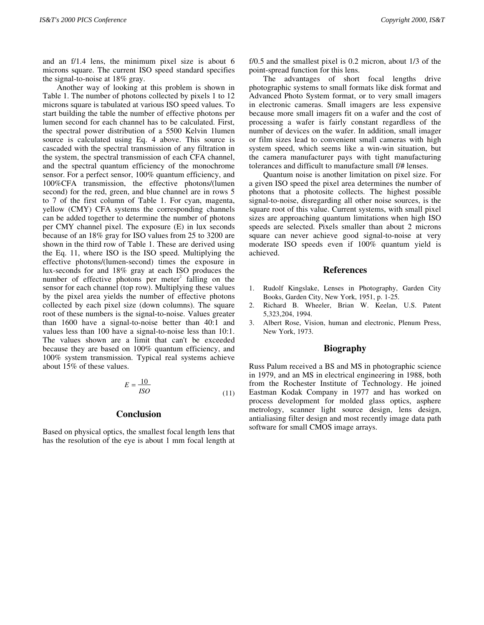and an f/1.4 lens, the minimum pixel size is about 6 microns square. The current ISO speed standard specifies the signal-to-noise at 18% gray.

Another way of looking at this problem is shown in Table 1. The number of photons collected by pixels 1 to 12 microns square is tabulated at various ISO speed values. To start building the table the number of effective photons per lumen second for each channel has to be calculated. First, the spectral power distribution of a 5500 Kelvin 1lumen source is calculated using Eq. 4 above. This source is cascaded with the spectral transmission of any filtration in the system, the spectral transmission of each CFA channel, and the spectral quantum efficiency of the monochrome sensor. For a perfect sensor, 100% quantum efficiency, and 100%CFA transmission, the effective photons/(lumen second) for the red, green, and blue channel are in rows 5 to 7 of the first column of Table 1. For cyan, magenta, yellow (CMY) CFA systems the corresponding channels can be added together to determine the number of photons per CMY channel pixel. The exposure (E) in lux seconds because of an 18% gray for ISO values from 25 to 3200 are shown in the third row of Table 1. These are derived using the Eq. 11, where ISO is the ISO speed. Multiplying the effective photons/(lumen-second) times the exposure in lux-seconds for and 18% gray at each ISO produces the number of effective photons per meter<sup>2</sup> falling on the sensor for each channel (top row). Multiplying these values by the pixel area yields the number of effective photons collected by each pixel size (down columns). The square root of these numbers is the signal-to-noise. Values greater than 1600 have a signal-to-noise better than 40:1 and values less than 100 have a signal-to-noise less than 10:1. The values shown are a limit that can't be exceeded because they are based on 100% quantum efficiency, and 100% system transmission. Typical real systems achieve about 15% of these values.

$$
E = \frac{10}{ISO} \tag{11}
$$

## **Conclusion**

Based on physical optics, the smallest focal length lens that has the resolution of the eye is about 1 mm focal length at

f/0.5 and the smallest pixel is 0.2 micron, about 1/3 of the point-spread function for this lens.

The advantages of short focal lengths drive photographic systems to small formats like disk format and Advanced Photo System format, or to very small imagers in electronic cameras. Small imagers are less expensive because more small imagers fit on a wafer and the cost of processing a wafer is fairly constant regardless of the number of devices on the wafer. In addition, small imager or film sizes lead to convenient small cameras with high system speed, which seems like a win-win situation, but the camera manufacturer pays with tight manufacturing tolerances and difficult to manufacture small f/# lenses.

Quantum noise is another limitation on pixel size. For a given ISO speed the pixel area determines the number of photons that a photosite collects. The highest possible signal-to-noise, disregarding all other noise sources, is the square root of this value. Current systems, with small pixel sizes are approaching quantum limitations when high ISO speeds are selected. Pixels smaller than about 2 microns square can never achieve good signal-to-noise at very moderate ISO speeds even if 100% quantum yield is achieved.

#### **References**

- 1. Rudolf Kingslake, Lenses in Photography, Garden City Books, Garden City, New York, 1951, p. 1-25.
- 2. Richard B. Wheeler, Brian W. Keelan, U.S. Patent 5,323,204, 1994.
- 3. Albert Rose, Vision, human and electronic, Plenum Press, New York, 1973.

#### **Biography**

Russ Palum received a BS and MS in photographic science in 1979, and an MS in electrical engineering in 1988, both from the Rochester Institute of Technology. He joined Eastman Kodak Company in 1977 and has worked on process development for molded glass optics, asphere metrology, scanner light source design, lens design, antialiasing filter design and most recently image data path software for small CMOS image arrays.